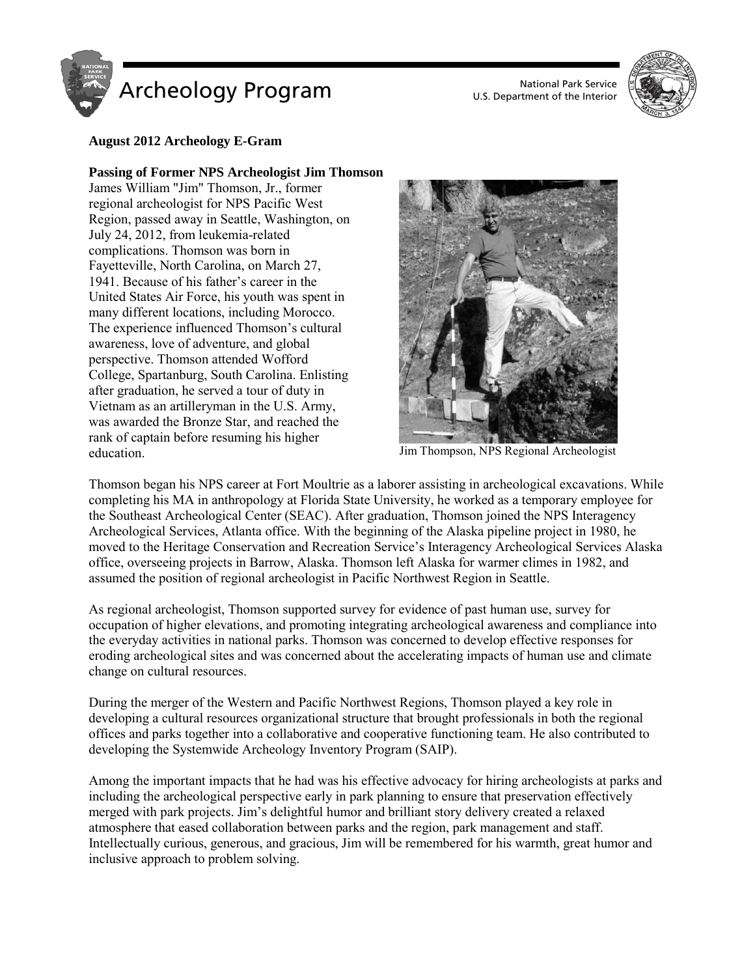



# **August 2012 Archeology E-Gram**

#### **Passing of Former NPS Archeologist Jim Thomson**

James William "Jim" Thomson, Jr., former regional archeologist for NPS Pacific West Region, passed away in Seattle, Washington, on July 24, 2012, from leukemia-related complications. Thomson was born in Fayetteville, North Carolina, on March 27, 1941. Because of his father's career in the United States Air Force, his youth was spent in many different locations, including Morocco. The experience influenced Thomson's cultural awareness, love of adventure, and global perspective. Thomson attended Wofford College, Spartanburg, South Carolina. Enlisting after graduation, he served a tour of duty in Vietnam as an artilleryman in the U.S. Army, was awarded the Bronze Star, and reached the rank of captain before resuming his higher education. Jim Thompson, NPS Regional Archeologist



Thomson began his NPS career at Fort Moultrie as a laborer assisting in archeological excavations. While completing his MA in anthropology at Florida State University, he worked as a temporary employee for the Southeast Archeological Center (SEAC). After graduation, Thomson joined the NPS Interagency Archeological Services, Atlanta office. With the beginning of the Alaska pipeline project in 1980, he moved to the Heritage Conservation and Recreation Service's Interagency Archeological Services Alaska office, overseeing projects in Barrow, Alaska. Thomson left Alaska for warmer climes in 1982, and assumed the position of regional archeologist in Pacific Northwest Region in Seattle.

As regional archeologist, Thomson supported survey for evidence of past human use, survey for occupation of higher elevations, and promoting integrating archeological awareness and compliance into the everyday activities in national parks. Thomson was concerned to develop effective responses for eroding archeological sites and was concerned about the accelerating impacts of human use and climate change on cultural resources.

During the merger of the Western and Pacific Northwest Regions, Thomson played a key role in developing a cultural resources organizational structure that brought professionals in both the regional offices and parks together into a collaborative and cooperative functioning team. He also contributed to developing the Systemwide Archeology Inventory Program (SAIP).

Among the important impacts that he had was his effective advocacy for hiring archeologists at parks and including the archeological perspective early in park planning to ensure that preservation effectively merged with park projects. Jim's delightful humor and brilliant story delivery created a relaxed atmosphere that eased collaboration between parks and the region, park management and staff. Intellectually curious, generous, and gracious, Jim will be remembered for his warmth, great humor and inclusive approach to problem solving.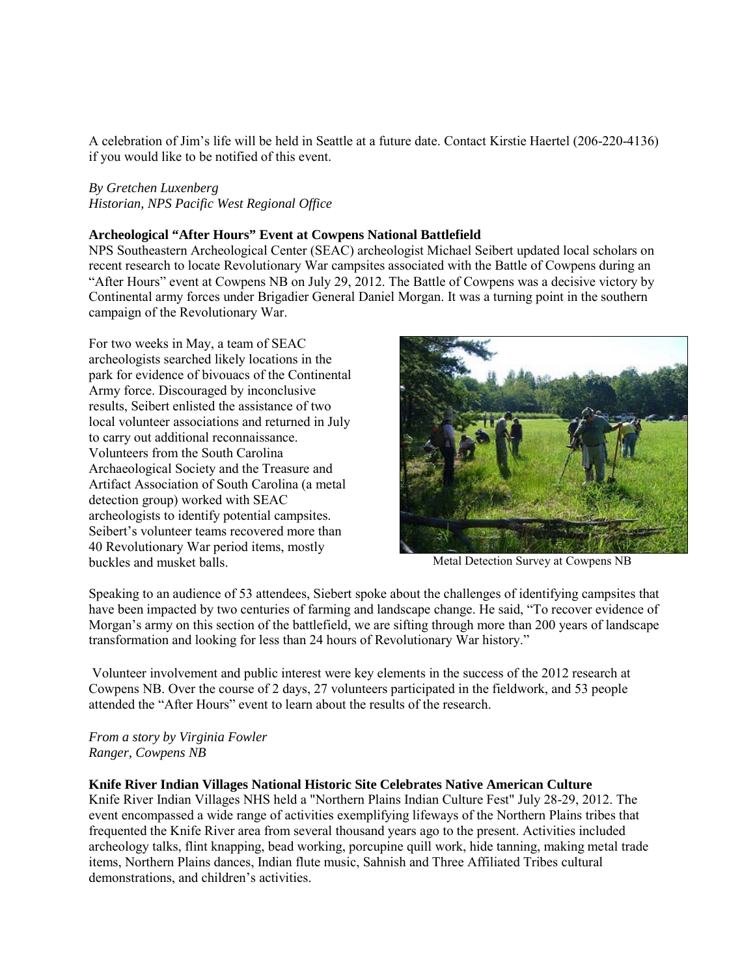A celebration of Jim's life will be held in Seattle at a future date. Contact Kirstie Haertel (206-220-4136) if you would like to be notified of this event.

## *By Gretchen Luxenberg*

*Historian, NPS Pacific West Regional Office*

### **Archeological "After Hours" Event at Cowpens National Battlefield**

NPS Southeastern Archeological Center (SEAC) archeologist Michael Seibert updated local scholars on recent research to locate Revolutionary War campsites associated with the Battle of Cowpens during an "After Hours" event at Cowpens NB on July 29, 2012. The Battle of Cowpens was a decisive victory by Continental army forces under Brigadier General Daniel Morgan. It was a turning point in the southern campaign of the Revolutionary War.

For two weeks in May, a team of SEAC archeologists searched likely locations in the park for evidence of bivouacs of the Continental Army force. Discouraged by inconclusive results, Seibert enlisted the assistance of two local volunteer associations and returned in July to carry out additional reconnaissance. Volunteers from the South Carolina Archaeological Society and the Treasure and Artifact Association of South Carolina (a metal detection group) worked with SEAC archeologists to identify potential campsites. Seibert's volunteer teams recovered more than 40 Revolutionary War period items, mostly buckles and musket balls. The matrix of the Metal Detection Survey at Cowpens NB



Speaking to an audience of 53 attendees, Siebert spoke about the challenges of identifying campsites that have been impacted by two centuries of farming and landscape change. He said, "To recover evidence of Morgan's army on this section of the battlefield, we are sifting through more than 200 years of landscape transformation and looking for less than 24 hours of Revolutionary War history."

Volunteer involvement and public interest were key elements in the success of the 2012 research at Cowpens NB. Over the course of 2 days, 27 volunteers participated in the fieldwork, and 53 people attended the "After Hours" event to learn about the results of the research.

*From a story by Virginia Fowler Ranger, Cowpens NB*

#### **Knife River Indian Villages National Historic Site Celebrates Native American Culture**

Knife River Indian Villages NHS held a "Northern Plains Indian Culture Fest" July 28-29, 2012. The event encompassed a wide range of activities exemplifying lifeways of the Northern Plains tribes that frequented the Knife River area from several thousand years ago to the present. Activities included archeology talks, flint knapping, bead working, porcupine quill work, hide tanning, making metal trade items, Northern Plains dances, Indian flute music, Sahnish and Three Affiliated Tribes cultural demonstrations, and children's activities.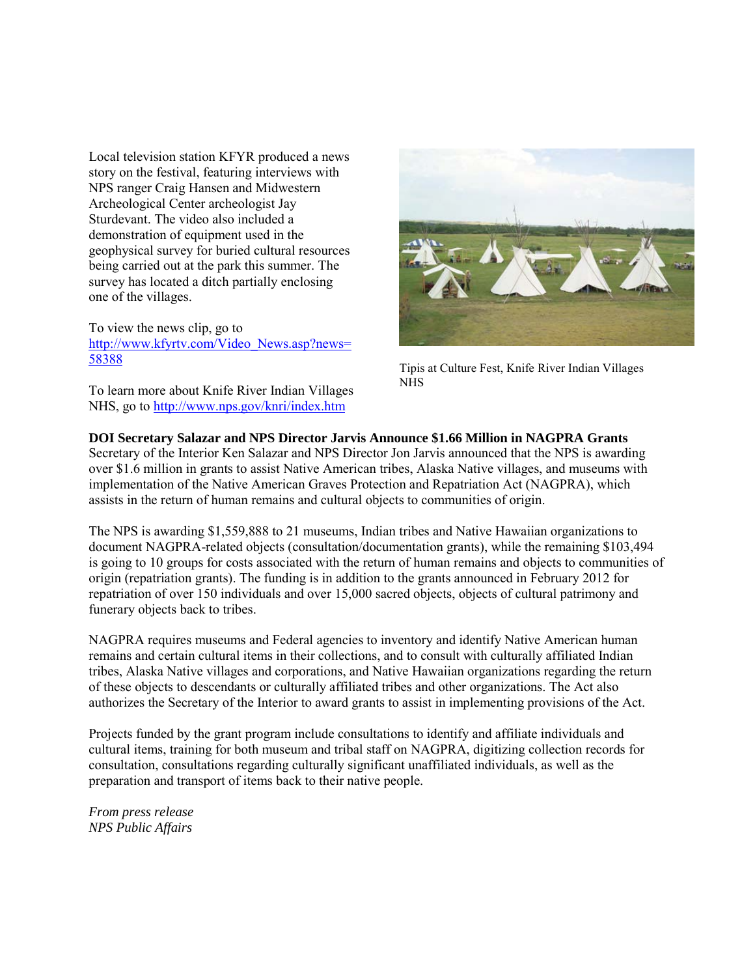Local television station KFYR produced a news story on the festival, featuring interviews with NPS ranger Craig Hansen and Midwestern Archeological Center archeologist Jay Sturdevant. The video also included a demonstration of equipment used in the geophysical survey for buried cultural resources being carried out at the park this summer. The survey has located a ditch partially enclosing one of the villages.

To view the news clip, go to [http://www.kfyrtv.com/Video\\_News.asp?news=](http://www.kfyrtv.com/Video_News.asp?news=58388) [58388](http://www.kfyrtv.com/Video_News.asp?news=58388)

To learn more about Knife River Indian Villages NHS, go to<http://www.nps.gov/knri/index.htm>



Tipis at Culture Fest, Knife River Indian Villages NHS

#### **DOI Secretary Salazar and NPS Director Jarvis Announce \$1.66 Million in NAGPRA Grants**

Secretary of the Interior Ken Salazar and NPS Director Jon Jarvis announced that the NPS is awarding over \$1.6 million in grants to assist Native American tribes, Alaska Native villages, and museums with implementation of the Native American Graves Protection and Repatriation Act (NAGPRA), which assists in the return of human remains and cultural objects to communities of origin.

The NPS is awarding \$1,559,888 to 21 museums, Indian tribes and Native Hawaiian organizations to document NAGPRA-related objects (consultation/documentation grants), while the remaining \$103,494 is going to 10 groups for costs associated with the return of human remains and objects to communities of origin (repatriation grants). The funding is in addition to the grants announced in February 2012 for repatriation of over 150 individuals and over 15,000 sacred objects, objects of cultural patrimony and funerary objects back to tribes.

NAGPRA requires museums and Federal agencies to inventory and identify Native American human remains and certain cultural items in their collections, and to consult with culturally affiliated Indian tribes, Alaska Native villages and corporations, and Native Hawaiian organizations regarding the return of these objects to descendants or culturally affiliated tribes and other organizations. The Act also authorizes the Secretary of the Interior to award grants to assist in implementing provisions of the Act.

Projects funded by the grant program include consultations to identify and affiliate individuals and cultural items, training for both museum and tribal staff on NAGPRA, digitizing collection records for consultation, consultations regarding culturally significant unaffiliated individuals, as well as the preparation and transport of items back to their native people.

*From press release NPS Public Affairs*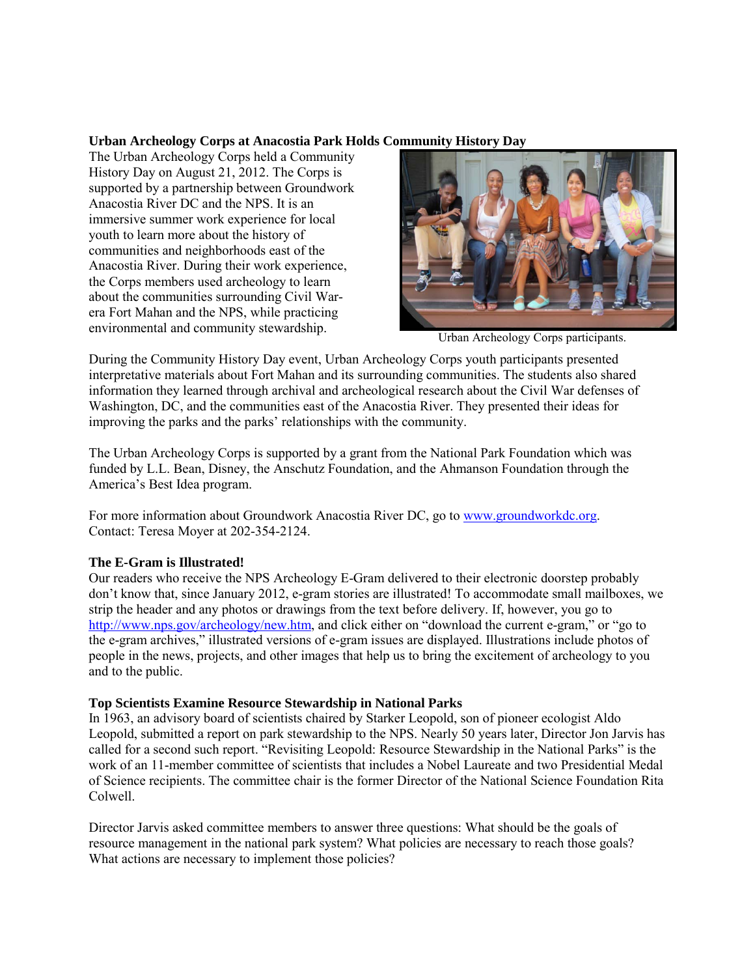### **Urban Archeology Corps at Anacostia Park Holds Community History Day**

The Urban Archeology Corps held a Community History Day on August 21, 2012. The Corps is supported by a partnership between Groundwork Anacostia River DC and the NPS. It is an immersive summer work experience for local youth to learn more about the history of communities and neighborhoods east of the Anacostia River. During their work experience, the Corps members used archeology to learn about the communities surrounding Civil Warera Fort Mahan and the NPS, while practicing environmental and community stewardship.<br>
Urban Archeology Corps participants.



During the Community History Day event, Urban Archeology Corps youth participants presented interpretative materials about Fort Mahan and its surrounding communities. The students also shared information they learned through archival and archeological research about the Civil War defenses of Washington, DC, and the communities east of the Anacostia River. They presented their ideas for improving the parks and the parks' relationships with the community.

The Urban Archeology Corps is supported by a grant from the National Park Foundation which was funded by L.L. Bean, Disney, the Anschutz Foundation, and the Ahmanson Foundation through the America's Best Idea program.

For more information about Groundwork Anacostia River DC, go to [www.groundworkdc.org.](http://www.groundworkdc.org/) Contact: Teresa Moyer at 202-354-2124.

### **The E-Gram is Illustrated!**

Our readers who receive the NPS Archeology E-Gram delivered to their electronic doorstep probably don't know that, since January 2012, e-gram stories are illustrated! To accommodate small mailboxes, we strip the header and any photos or drawings from the text before delivery. If, however, you go to [http://www.nps.gov/archeology/new.htm,](http://www.nps.gov/archeology/new.htm) and click either on "download the current e-gram," or "go to the e-gram archives," illustrated versions of e-gram issues are displayed. Illustrations include photos of people in the news, projects, and other images that help us to bring the excitement of archeology to you and to the public.

### **Top Scientists Examine Resource Stewardship in National Parks**

In 1963, an advisory board of scientists chaired by Starker Leopold, son of pioneer ecologist Aldo Leopold, submitted a report on park stewardship to the NPS. Nearly 50 years later, Director Jon Jarvis has called for a second such report. "Revisiting Leopold: Resource Stewardship in the National Parks" is the work of an 11-member committee of scientists that includes a Nobel Laureate and two Presidential Medal of Science recipients. The committee chair is the former Director of the National Science Foundation Rita Colwell.

Director Jarvis asked committee members to answer three questions: What should be the goals of resource management in the national park system? What policies are necessary to reach those goals? What actions are necessary to implement those policies?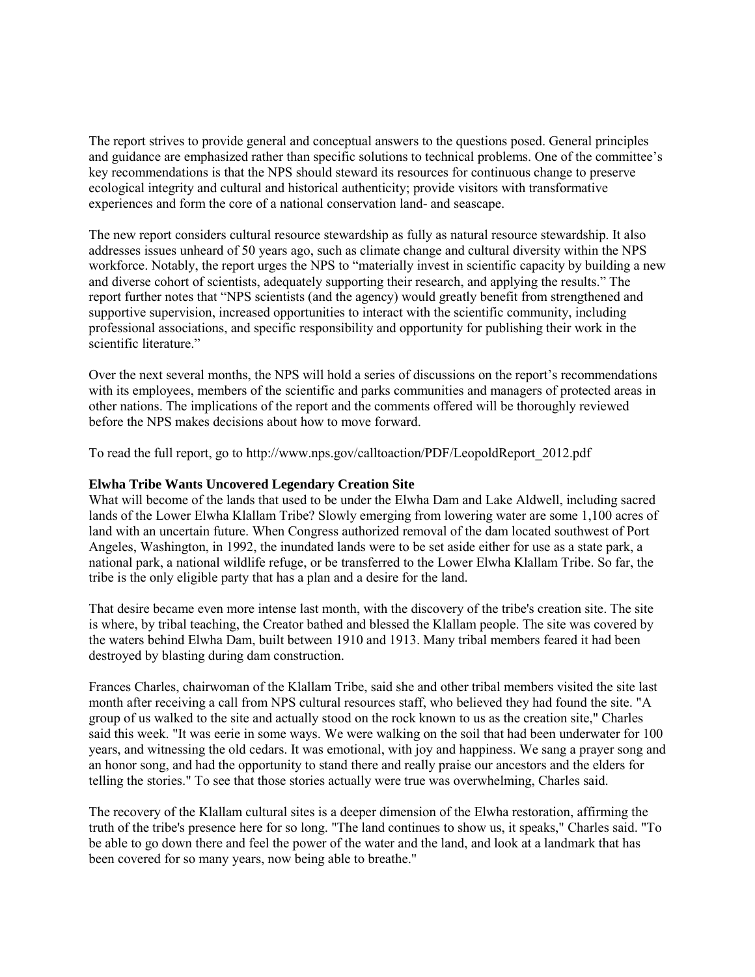The report strives to provide general and conceptual answers to the questions posed. General principles and guidance are emphasized rather than specific solutions to technical problems. One of the committee's key recommendations is that the NPS should steward its resources for continuous change to preserve ecological integrity and cultural and historical authenticity; provide visitors with transformative experiences and form the core of a national conservation land- and seascape.

The new report considers cultural resource stewardship as fully as natural resource stewardship. It also addresses issues unheard of 50 years ago, such as climate change and cultural diversity within the NPS workforce. Notably, the report urges the NPS to "materially invest in scientific capacity by building a new and diverse cohort of scientists, adequately supporting their research, and applying the results." The report further notes that "NPS scientists (and the agency) would greatly benefit from strengthened and supportive supervision, increased opportunities to interact with the scientific community, including professional associations, and specific responsibility and opportunity for publishing their work in the scientific literature."

Over the next several months, the NPS will hold a series of discussions on the report's recommendations with its employees, members of the scientific and parks communities and managers of protected areas in other nations. The implications of the report and the comments offered will be thoroughly reviewed before the NPS makes decisions about how to move forward.

To read the full report, go to http://www.nps.gov/calltoaction/PDF/LeopoldReport\_2012.pdf

### **Elwha Tribe Wants Uncovered Legendary Creation Site**

What will become of the lands that used to be under the Elwha Dam and Lake Aldwell, including sacred lands of the Lower Elwha Klallam Tribe? Slowly emerging from lowering water are some 1,100 acres of land with an uncertain future. When Congress authorized removal of the dam located southwest of Port Angeles, Washington, in 1992, the inundated lands were to be set aside either for use as a state park, a national park, a national wildlife refuge, or be transferred to the Lower Elwha Klallam Tribe. So far, the tribe is the only eligible party that has a plan and a desire for the land.

That desire became even more intense last month, with the discovery of the tribe's creation site. The site is where, by tribal teaching, the Creator bathed and blessed the Klallam people. The site was covered by the waters behind Elwha Dam, built between 1910 and 1913. Many tribal members feared it had been destroyed by blasting during dam construction.

Frances Charles, chairwoman of the Klallam Tribe, said she and other tribal members visited the site last month after receiving a call from NPS cultural resources staff, who believed they had found the site. "A group of us walked to the site and actually stood on the rock known to us as the creation site," Charles said this week. "It was eerie in some ways. We were walking on the soil that had been underwater for 100 years, and witnessing the old cedars. It was emotional, with joy and happiness. We sang a prayer song and an honor song, and had the opportunity to stand there and really praise our ancestors and the elders for telling the stories." To see that those stories actually were true was overwhelming, Charles said.

The recovery of the Klallam cultural sites is a deeper dimension of the Elwha restoration, affirming the truth of the tribe's presence here for so long. "The land continues to show us, it speaks," Charles said. "To be able to go down there and feel the power of the water and the land, and look at a landmark that has been covered for so many years, now being able to breathe."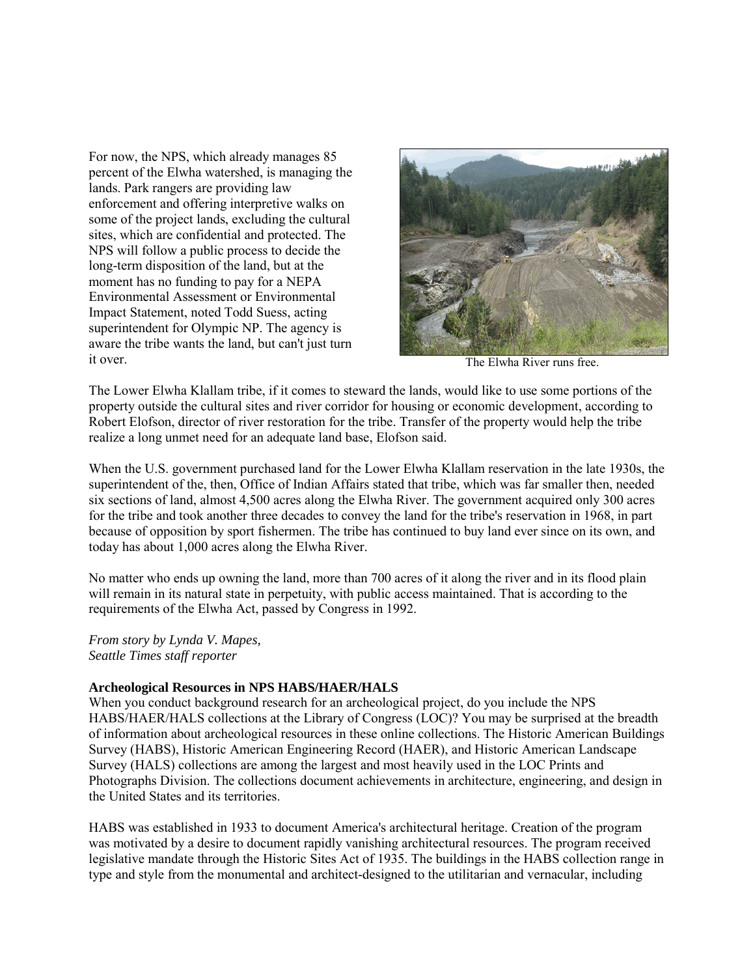For now, the NPS, which already manages 85 percent of the Elwha watershed, is managing the lands. Park rangers are providing law enforcement and offering interpretive walks on some of the project lands, excluding the cultural sites, which are confidential and protected. The NPS will follow a public process to decide the long-term disposition of the land, but at the moment has no funding to pay for a NEPA Environmental Assessment or Environmental Impact Statement, noted Todd Suess, acting superintendent for Olympic NP. The agency is aware the tribe wants the land, but can't just turn it over. The Elwha River runs free.



The Lower Elwha Klallam tribe, if it comes to steward the lands, would like to use some portions of the property outside the cultural sites and river corridor for housing or economic development, according to Robert Elofson, director of river restoration for the tribe. Transfer of the property would help the tribe realize a long unmet need for an adequate land base, Elofson said.

When the U.S. government purchased land for the Lower Elwha Klallam reservation in the late 1930s, the superintendent of the, then, Office of Indian Affairs stated that tribe, which was far smaller then, needed six sections of land, almost 4,500 acres along the Elwha River. The government acquired only 300 acres for the tribe and took another three decades to convey the land for the tribe's reservation in 1968, in part because of opposition by sport fishermen. The tribe has continued to buy land ever since on its own, and today has about 1,000 acres along the Elwha River.

No matter who ends up owning the land, more than 700 acres of it along the river and in its flood plain will remain in its natural state in perpetuity, with public access maintained. That is according to the requirements of the Elwha Act, passed by Congress in 1992.

*From story by Lynda V. Mapes, Seattle Times staff reporter* 

#### **Archeological Resources in NPS HABS/HAER/HALS**

When you conduct background research for an archeological project, do you include the NPS HABS/HAER/HALS collections at the Library of Congress (LOC)? You may be surprised at the breadth of information about archeological resources in these online collections. The Historic American Buildings Survey (HABS), Historic American Engineering Record (HAER), and Historic American Landscape Survey (HALS) collections are among the largest and most heavily used in the LOC Prints and Photographs Division. The collections document achievements in architecture, engineering, and design in the United States and its territories.

HABS was established in 1933 to document America's architectural heritage. Creation of the program was motivated by a desire to document rapidly vanishing architectural resources. The program received legislative mandate through the Historic Sites Act of 1935. The buildings in the HABS collection range in type and style from the monumental and architect-designed to the utilitarian and vernacular, including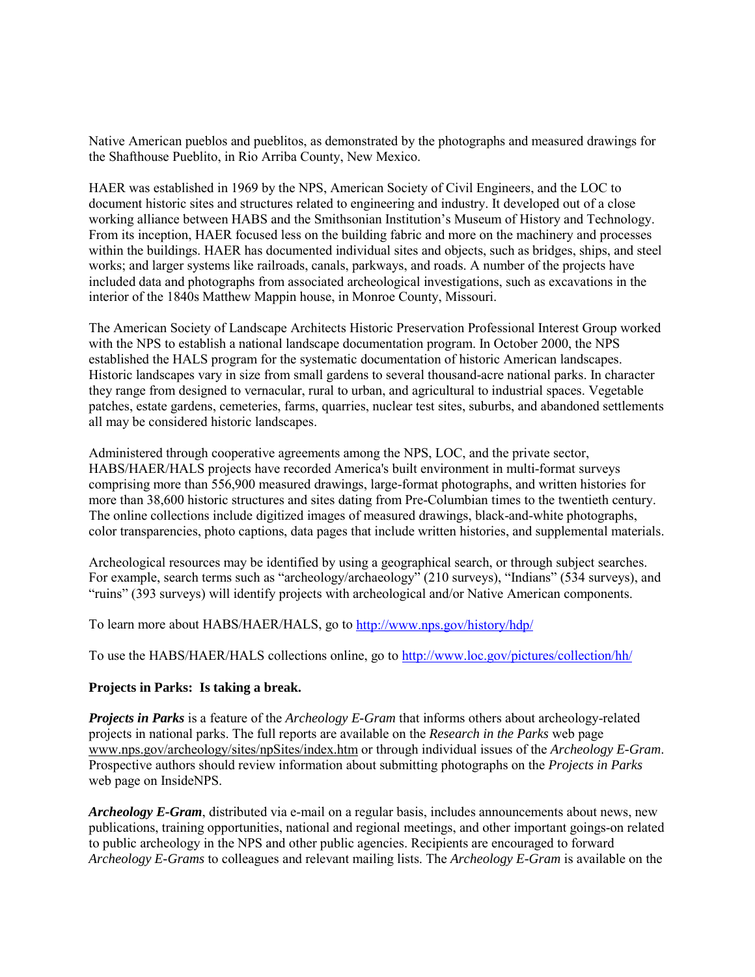Native American pueblos and pueblitos, as demonstrated by the photographs and measured drawings for the Shafthouse Pueblito, in Rio Arriba County, New Mexico.

HAER was established in 1969 by the NPS, American Society of Civil Engineers, and the LOC to document historic sites and structures related to engineering and industry. It developed out of a close working alliance between HABS and the Smithsonian Institution's Museum of History and Technology. From its inception, HAER focused less on the building fabric and more on the machinery and processes within the buildings. HAER has documented individual sites and objects, such as bridges, ships, and steel works; and larger systems like railroads, canals, parkways, and roads. A number of the projects have included data and photographs from associated archeological investigations, such as excavations in the interior of the 1840s Matthew Mappin house, in Monroe County, Missouri.

The American Society of Landscape Architects Historic Preservation Professional Interest Group worked with the NPS to establish a national landscape documentation program. In October 2000, the NPS established the HALS program for the systematic documentation of historic American landscapes. Historic landscapes vary in size from small gardens to several thousand-acre national parks. In character they range from designed to vernacular, rural to urban, and agricultural to industrial spaces. Vegetable patches, estate gardens, cemeteries, farms, quarries, nuclear test sites, suburbs, and abandoned settlements all may be considered historic landscapes.

Administered through cooperative agreements among the NPS, LOC, and the private sector, HABS/HAER/HALS projects have recorded America's built environment in multi-format surveys comprising more than 556,900 measured drawings, large-format photographs, and written histories for more than 38,600 historic structures and sites dating from Pre-Columbian times to the twentieth century. The online collections include digitized images of measured drawings, black-and-white photographs, color transparencies, photo captions, data pages that include written histories, and supplemental materials.

Archeological resources may be identified by using a geographical search, or through subject searches. For example, search terms such as "archeology/archaeology" (210 surveys), "Indians" (534 surveys), and "ruins" (393 surveys) will identify projects with archeological and/or Native American components.

To learn more about HABS/HAER/HALS, go to<http://www.nps.gov/history/hdp/>

To use the HABS/HAER/HALS collections online, go to<http://www.loc.gov/pictures/collection/hh/>

#### **Projects in Parks: Is taking a break.**

*Projects in Parks* is a feature of the *Archeology E-Gram* that informs others about archeology-related projects in national parks. The full reports are available on the *Research in the Parks* web page [www.nps.gov/archeology/sites/npSites/index.htm](http://www.nps.gov/archeology/sites/npSites/index.htm) or through individual issues of the *Archeology E-Gram*. Prospective authors should review information about submitting photographs on the *Projects in Parks* web page on InsideNPS.

*Archeology E-Gram*, distributed via e-mail on a regular basis, includes announcements about news, new publications, training opportunities, national and regional meetings, and other important goings-on related to public archeology in the NPS and other public agencies. Recipients are encouraged to forward *Archeology E-Grams* to colleagues and relevant mailing lists. The *Archeology E-Gram* is available on the